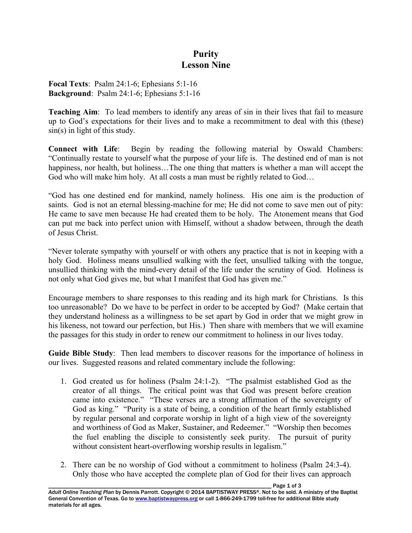## **Purity Lesson Nine**

**Focal Texts**: Psalm 24:1-6; Ephesians 5:1-16 **Background**: Psalm 24:1-6; Ephesians 5:1-16

**Teaching Aim**: To lead members to identify any areas of sin in their lives that fail to measure up to God's expectations for their lives and to make a recommitment to deal with this (these) sin(s) in light of this study.

**Connect with Life**: Begin by reading the following material by Oswald Chambers: "Continually restate to yourself what the purpose of your life is. The destined end of man is not happiness, nor health, but holiness...The one thing that matters is whether a man will accept the God who will make him holy. At all costs a man must be rightly related to God...

"God has one destined end for mankind, namely holiness. His one aim is the production of saints. God is not an eternal blessing-machine for me; He did not come to save men out of pity: He came to save men because He had created them to be holy. The Atonement means that God can put me back into perfect union with Himself, without a shadow between, through the death of Jesus Christ.

"Never tolerate sympathy with yourself or with others any practice that is not in keeping with a holy God. Holiness means unsullied walking with the feet, unsullied talking with the tongue, unsullied thinking with the mind-every detail of the life under the scrutiny of God. Holiness is not only what God gives me, but what I manifest that God has given me."

Encourage members to share responses to this reading and its high mark for Christians. Is this too unreasonable? Do we have to be perfect in order to be accepted by God? (Make certain that they understand holiness as a willingness to be set apart by God in order that we might grow in his likeness, not toward our perfection, but His.) Then share with members that we will examine the passages for this study in order to renew our commitment to holiness in our lives today.

**Guide Bible Study**: Then lead members to discover reasons for the importance of holiness in our lives. Suggested reasons and related commentary include the following:

- 1. God created us for holiness (Psalm 24:1-2). "The psalmist established God as the creator of all things. The critical point was that God was present before creation came into existence." "These verses are a strong affirmation of the sovereignty of God as king." "Purity is a state of being, a condition of the heart firmly established by regular personal and corporate worship in light of a high view of the sovereignty and worthiness of God as Maker, Sustainer, and Redeemer." "Worship then becomes the fuel enabling the disciple to consistently seek purity. The pursuit of purity without consistent heart-overflowing worship results in legalism."
- 2. There can be no worship of God without a commitment to holiness (Psalm 24:3-4). Only those who have accepted the complete plan of God for their lives can approach

Page 1 of 3 *Adult Online Teaching Plan* by Dennis Parrott. Copyright © 2014 BAPTISTWAY PRESS®. Not to be sold. A ministry of the Baptist General Convention of Texas. Go to www.baptistwaypress.org or call 1-866-249-1799 toll-free for additional Bible study materials for all ages.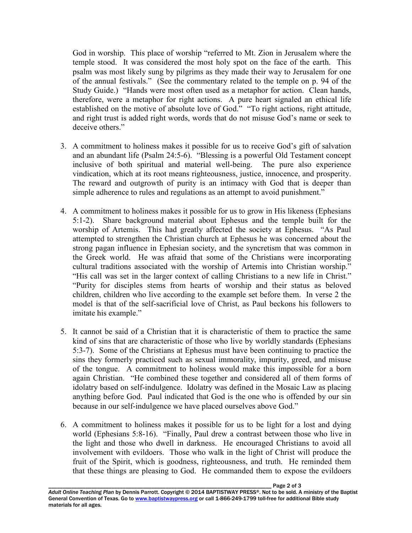God in worship. This place of worship "referred to Mt. Zion in Jerusalem where the temple stood. It was considered the most holy spot on the face of the earth. This psalm was most likely sung by pilgrims as they made their way to Jerusalem for one of the annual festivals." (See the commentary related to the temple on p. 94 of the Study Guide.) "Hands were most often used as a metaphor for action. Clean hands, therefore, were a metaphor for right actions. A pure heart signaled an ethical life established on the motive of absolute love of God." "To right actions, right attitude, and right trust is added right words, words that do not misuse God's name or seek to deceive others."

- 3. A commitment to holiness makes it possible for us to receive God's gift of salvation and an abundant life (Psalm 24:5-6). "Blessing is a powerful Old Testament concept inclusive of both spiritual and material well-being. The pure also experience vindication, which at its root means righteousness, justice, innocence, and prosperity. The reward and outgrowth of purity is an intimacy with God that is deeper than simple adherence to rules and regulations as an attempt to avoid punishment."
- 4. A commitment to holiness makes it possible for us to grow in His likeness (Ephesians 5:1-2). Share background material about Ephesus and the temple built for the worship of Artemis. This had greatly affected the society at Ephesus. "As Paul attempted to strengthen the Christian church at Ephesus he was concerned about the strong pagan influence in Ephesian society, and the syncretism that was common in the Greek world. He was afraid that some of the Christians were incorporating cultural traditions associated with the worship of Artemis into Christian worship." "His call was set in the larger context of calling Christians to a new life in Christ." "Purity for disciples stems from hearts of worship and their status as beloved children, children who live according to the example set before them. In verse 2 the model is that of the self-sacrificial love of Christ, as Paul beckons his followers to imitate his example."
- 5. It cannot be said of a Christian that it is characteristic of them to practice the same kind of sins that are characteristic of those who live by worldly standards (Ephesians 5:3-7). Some of the Christians at Ephesus must have been continuing to practice the sins they formerly practiced such as sexual immorality, impurity, greed, and misuse of the tongue. A commitment to holiness would make this impossible for a born again Christian. "He combined these together and considered all of them forms of idolatry based on self-indulgence. Idolatry was defined in the Mosaic Law as placing anything before God. Paul indicated that God is the one who is offended by our sin because in our self-indulgence we have placed ourselves above God."
- 6. A commitment to holiness makes it possible for us to be light for a lost and dying world (Ephesians 5:8-16). "Finally, Paul drew a contrast between those who live in the light and those who dwell in darkness. He encouraged Christians to avoid all involvement with evildoers. Those who walk in the light of Christ will produce the fruit of the Spirit, which is goodness, righteousness, and truth. He reminded them that these things are pleasing to God. He commanded them to expose the evildoers

Page 2 of 3 *Adult Online Teaching Plan* by Dennis Parrott. Copyright © 2014 BAPTISTWAY PRESS®. Not to be sold. A ministry of the Baptist General Convention of Texas. Go to www.baptistwaypress.org or call 1-866-249-1799 toll-free for additional Bible study materials for all ages.